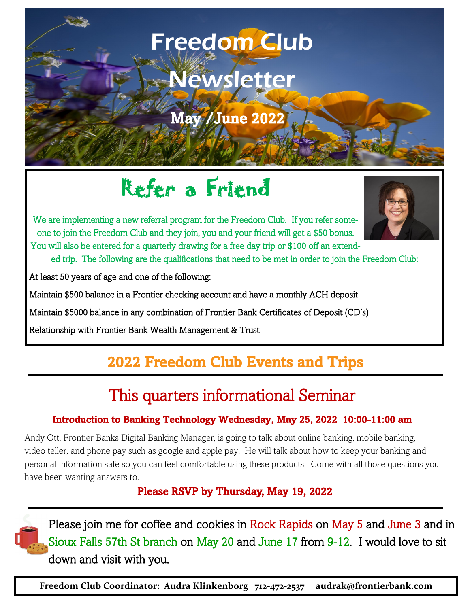### *Hello Freedom Club Friends!!!*  Freedom Club

# Newsletter

*October—December 2021*  May /June 2022

# Refer a Friend

We are implementing a new referral program for the Freedom Club. If you refer someone to join the Freedom Club and they join, you and your friend will get a \$50 bonus. You will also be entered for a quarterly drawing for a free day trip or \$100 off an extend-

ed trip. The following are the qualifications that need to be met in order to join the Freedom Club:

At least 50 years of age and one of the following:

 $\epsilon$  July 2021

Maintain \$500 balance in a Frontier checking account and have a monthly ACH deposit

Maintain \$5000 balance in any combination of Frontier Bank Certificates of Deposit (CD's)

Relationship with Frontier Bank Wealth Management & Trust

# 2022 Freedom Club Events and Trips

# This quarters informational Seminar

### Introduction to Banking Technology Wednesday, May 25, 2022 10:00-11:00 am

Andy Ott, Frontier Banks Digital Banking Manager, is going to talk about online banking, mobile banking, video teller, and phone pay such as google and apple pay. He will talk about how to keep your banking and personal information safe so you can feel comfortable using these products. Come with all those questions you have been wanting answers to.

Please RSVP by Thursday, May 19, 2022



Please join me for coffee and cookies in Rock Rapids on May 5 and June 3 and in Sioux Falls 57th St branch on May 20 and June 17 from 9-12. I would love to sit down and visit with you.

**Freedom Club Coordinator: Audra Klinkenborg 712-472-2537 audrak@frontierbank.com**